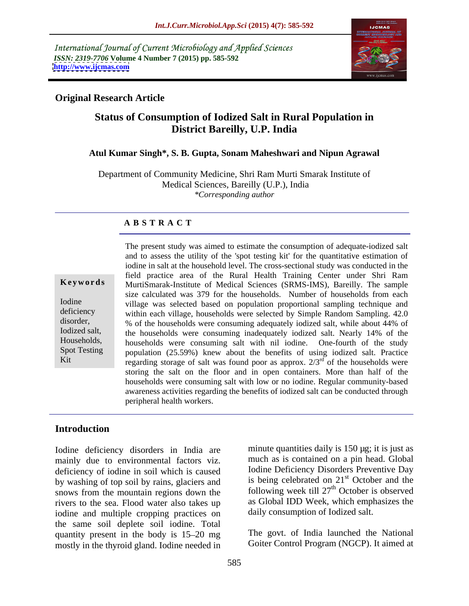International Journal of Current Microbiology and Applied Sciences *ISSN: 2319-7706* **Volume 4 Number 7 (2015) pp. 585-592 <http://www.ijcmas.com>**



### **Original Research Article**

# **Status of Consumption of Iodized Salt in Rural Population in District Bareilly, U.P. India**

#### **Atul Kumar Singh\*, S. B. Gupta, Sonam Maheshwari and Nipun Agrawal**

Department of Community Medicine, Shri Ram Murti Smarak Institute of Medical Sciences, Bareilly (U.P.), India *\*Corresponding author*

#### **A B S T R A C T**

Kit

The present study was aimed to estimate the consumption of adequate-iodized salt and to assess the utility of the 'spot testing kit' for the quantitative estimation of iodine in salt at the household level. The cross-sectional study was conducted in the field practice area of the Rural Health Training Center under Shri Ram MurtiSmarak-Institute of Medical Sciences (SRMS-IMS), Bareilly. The sample **Ke ywo rds** size calculated was 379 for the households. Number of households from each Iodine village was selected based on population proportional sampling technique and deficiency within each village, households were selected by Simple Random Sampling. 42.0 disorder, while about 44% of the households were consuming adequately iodized salt, while about 44% of Iodized salt, the households were consuming inadequately iodized salt. Nearly 14% of the Households, households were consuming salt with nil iodine. One-fourth of the study Spot Testing population (25.59%) knew about the benefits of using iodized salt. Practice regarding storage of salt was found poor as approx.  $2/3^{rd}$  of the households were <sup>rd</sup> of the households were storing the salt on the floor and in open containers. More than half of the households were consuming salt with low or no iodine. Regular community-based awareness activities regarding the benefits of iodized salt can be conducted through peripheral health workers.

## **Introduction**

Iodine deficiency disorders in India are mainly due to environmental factors viz. deficiency of iodine in soil which is caused by washing of top soil by rains, glaciers and is being celebrated on  $21<sup>st</sup>$  October and the snows from the mountain regions down the rivers to the sea. Flood water also takes up iodine and multiple cropping practices on the same soil deplete soil iodine. Total quantity present in the body is  $15-20$  mg mostly in the thyroid gland. Iodine needed in

minute quantities daily is 150 µg; it is just as much as is contained on a pin head. Global Iodine Deficiency Disorders Preventive Day st October and the following week till  $27<sup>th</sup>$  October is observed <sup>th</sup> October is observed as Global IDD Week, which emphasizes the daily consumption of Iodized salt.

The govt. of India launched the National Goiter Control Program (NGCP). It aimed at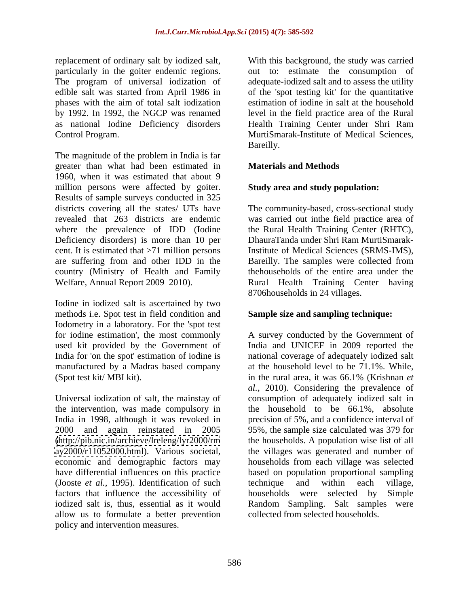by 1992. In 1992, the NGCP was renamed as national Iodine Deficiency disorders

The magnitude of the problem in India is far greater than what had been estimated in 1960, when it was estimated that about 9 million persons were affected by goiter. Results of sample surveys conducted in 325 districts covering all the states/ UTs have The community-based, cross-sectional study revealed that 263 districts are endemic was carried out inthe field practice area of where the prevalence of IDD (Iodine the Rural Health Training Center (RHTC), Deficiency disorders) is more than 10 per cent. It is estimated that >71 million persons Institute of Medical Sciences (SRMS-IMS), are suffering from and other IDD in the Bareilly. The samples were collected from country (Ministry of Health and Family Welfare, Annual Report 2009–2010). Rural Health Training Center having

Iodine in iodized salt is ascertained by two methods i.e. Spot test in field condition and Iodometry in a laboratory. For the 'spot test for iodine estimation', the most commonly (Spot test kit/ MBI kit). The summary in the rural area, it was 66.1% (Krishnan *et*)

the intervention, was made compulsory in 2000 and again reinstated in 2005 (Jooste *et al.,* 1995). Identification of such factors that influence the accessibility of allow us to formulate a better prevention policy and intervention measures.

replacement of ordinary salt by iodized salt, With this background, the study was carried particularly in the goiter endemic regions. out to: estimate the consumption of The program of universal iodization of adequate-iodized salt and to assess the utility edible salt was started from April 1986 in of the 'spot testing kit' for the quantitative phases with the aim of total salt iodization Control Program. MurtiSmarak-Institute of Medical Sciences, estimation of iodine in salt at the household level in the field practice area of the Rural Health Training Center under Shri Ram Bareilly.

## **Materials and Methods**

### **Study area and study population:**

DhauraTanda under Shri Ram MurtiSmarakthehouseholds of the entire area under the 8706households in 24 villages.

### **Sample size and sampling technique:**

used kit provided by the Government of India and UNICEF in 2009 reported the India for 'on the spot' estimation of iodine is national coverage of adequately iodized salt manufactured by a Madras based company at the household level to be 71.1%. While, Universal iodization of salt, the mainstay of consumption of adequately iodized salt in India in 1998, although it was revoked in precision of 5%, and a confidence interval of [\(http://pib.nic.in/archieve/lreleng/lyr2000/rm](http://pib.nic.in/archieve/lreleng/lyr2000/rm) the households. A population wise list of all <ay2000/r11052000.html>). Various societal, the villages was generated and number of economic and demographic factors may households from each village was selected have differential influences on this practice based on population proportional sampling iodized salt is, thus, essential as it would Random Sampling. Salt samples were A survey conducted by the Government of in the rural area, it was 66.1% (Krishnan *et al.,* 2010). Considering the prevalence of the household to be 66.1%, absolute 95%, the sample size calculated was 379 for technique and within each village, households were selected by collected from selected households.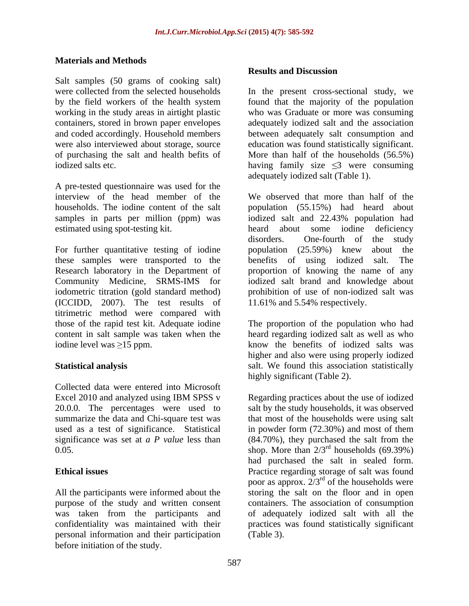### **Materials and Methods**

Salt samples (50 grams of cooking salt) were collected from the selected households

A pre-tested questionnaire was used for the estimated using spot-testing kit. heard about some iodine deficiency

For further quantitative testing of iodine population (25.59%) knew about the these samples were transported to the benefits of using iodized salt. The Research laboratory in the Department of proportion of knowing the name of any Community Medicine, SRMS-IMS for iodized salt brand and knowledge about iodometric titration (gold standard method) prohibition of use of non-iodized salt was (ICCIDD, 2007). The test results of titrimetric method were compared with

Collected data were entered into Microsoft

personal information and their participation before initiation of the study.

#### **Results and Discussion**

by the field workers of the health system found that the majority of the population working in the study areas in airtight plastic who was Graduate or more was consuming containers, stored in brown paper envelopes adequately iodized salt and the association and coded accordingly. Household members between adequately salt consumption and were also interviewed about storage, source education was found statistically significant. of purchasing the salt and health befits of More than half of the households (56.5%) iodized salts etc.  $\qquad \qquad \text{having family size } \leq 3 \text{ were consuming}$ In the present cross-sectional study, we adequately iodized salt (Table 1).

interview of the head member of the We observed that more than half of the households. The iodine content of the salt population (55.15%) had heard about samples in parts per million (ppm) was iodized salt and 22.43% population had heard about some iodine deficiency disorders. One-fourth of the study population (25.59%) knew about the benefits of using iodized salt. 11.61% and 5.54% respectively.

those of the rapid test kit. Adequate iodine The proportion of the population who had content in salt sample was taken when the heard regarding iodized salt as well as who iodine level was  $\geq$ 15 ppm. know the benefits of iodized salts was **Statistical analysis** Salt. We found this association statistically higher and also were using properly iodized highly significant (Table 2).

Excel 2010 and analyzed using IBM SPSS v Regarding practices about the use of iodized 20.0.0. The percentages were used to salt by the study households, it was observed summarize the data and Chi-square test was that most of the households were using salt used as a test of significance. Statistical in powder form (72.30%) and most of them significance was set at *a P value* less than (84.70%), they purchased the salt from the  $0.05$ . Shop. More than  $2/3<sup>rd</sup>$  households (69.39%) **Ethical issues** Practice regarding storage of salt was found All the participants were informed about the storing the salt on the floor and in open purpose of the study and written consent containers. The association of consumption was taken from the participants and of adequately iodized salt with all the confidentiality was maintained with their practices was found statistically significant Regarding practices about the use of iodized had purchased the salt in sealed form. poor as approx.  $2/3^{rd}$  of the households were (Table 3).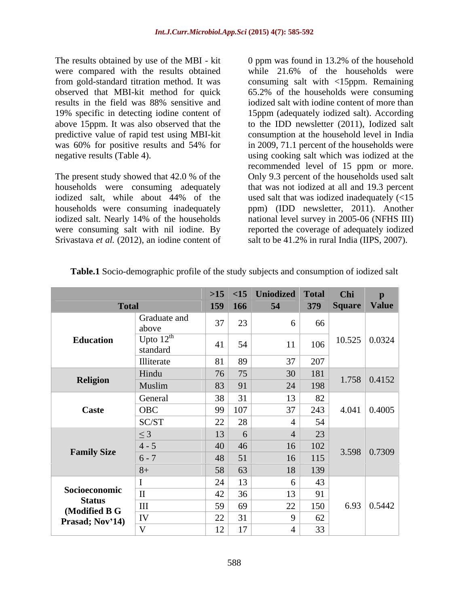The results obtained by use of the MBI - kit 0 ppm was found in 13.2% of the household were compared with the results obtained while 21.6% of the households were from gold-standard titration method. It was consuming salt with <15ppm. Remaining observed that MBI-kit method for quick 65.2% of the households were consuming results in the field was 88% sensitive and iodized salt with iodine content of more than 19% specific in detecting iodine content of 15ppm (adequately iodized salt). According above 15ppm. It was also observed that the to the IDD newsletter (2011), Iodized salt predictive value of rapid test using MBI-kit consumption at the household level in India was 60% for positive results and 54% for in 2009, 71.1 percent of the households were

The present study showed that 42.0 % of the Only 9.3 percent of the households used salt households were consuming adequately that was not iodized at all and 19.3 percent iodized salt, while about 44% of the used salt that was iodized inadequately (<15 households were consuming inadequately ppm) (IDD newsletter, 2011). Another iodized salt. Nearly 14% of the households national level survey in 2005-06 (NFHS III) were consuming salt with nil iodine. By reported the coverage of adequately iodized Srivastava *et al.* (2012), an iodine content of

negative results (Table 4). using cooking salt which was iodized at the iodized salt with iodine content of more than in 2009, 71.1 percent of the households were recommended level of 15 ppm or more. salt to be 41.2% in rural India (IIPS, 2007).

|                                                   |                                   |                                                  |                   | $  >15$ <15 Uniodized Total |                                                                   | <b>Chi</b>          | $\mathbf{p}$                |
|---------------------------------------------------|-----------------------------------|--------------------------------------------------|-------------------|-----------------------------|-------------------------------------------------------------------|---------------------|-----------------------------|
| <b>Total</b>                                      |                                   | 159 166                                          |                   | 54                          |                                                                   | 379 Square Value    |                             |
| <b>Education</b>                                  | Graduate and<br>above             | 37                                               | 23                | 6                           | 66                                                                |                     |                             |
|                                                   | Upto $12^{\text{th}}$<br>standard | 41                                               | 54                | 11                          | 106                                                               |                     | $10.525 \mid 0.0324$        |
|                                                   | Illiterate                        |                                                  | 81 89             | 37                          | $207\,$                                                           |                     |                             |
| Religion                                          | Hindu                             |                                                  | $76$ 75           |                             | $\begin{array}{ c c c c c } \hline 30 & 181 \ \hline \end{array}$ |                     | $1.758$ 0.4152              |
|                                                   | Muslim                            | $83 \mid 91$                                     |                   | 24                          | 198                                                               |                     |                             |
|                                                   | General                           |                                                  | $38$ 31           | 13                          | $82$                                                              |                     |                             |
| Caste                                             | $\vert$ OBC                       | 99 107                                           |                   | $\overline{37}$             | 243                                                               |                     | $4.041 \mid 0.4005$         |
|                                                   | SC/ST                             |                                                  | 28                |                             | 54                                                                |                     |                             |
|                                                   | $\leq$ 3                          | $\begin{array}{c c} 22 \\ \hline 13 \end{array}$ | $\sigma$          |                             |                                                                   | $3.598 \mid 0.7309$ |                             |
|                                                   | $ 4-5$                            | $40 \mid 46$                                     |                   | 16                          | $\frac{23}{102}$                                                  |                     |                             |
| <b>Family Size</b>                                | $6 - 7$                           |                                                  | $48$ 51           | 16                          | 115                                                               |                     |                             |
|                                                   | $8+$                              |                                                  | $58 \mid 63$      | 18                          | 139                                                               |                     |                             |
|                                                   |                                   | 24                                               | 13                | $6 \mid$                    | 43                                                                |                     |                             |
| Socioeconomic                                     |                                   |                                                  | $42 \mid 36 \mid$ | 13                          | 91                                                                |                     |                             |
| <b>Status</b><br>(Modified B G<br>Prasad; Nov'14) | $\rm III$                         | 59                                               | 69                | 22                          | 150                                                               |                     | 6.93 $\vert$ 0.5442 $\vert$ |
|                                                   | IV                                |                                                  | 31                | $\mathbf{Q}$                | 62                                                                |                     |                             |
|                                                   |                                   | $\boxed{22}$<br>12                               |                   |                             |                                                                   |                     |                             |
|                                                   |                                   |                                                  |                   | 33                          |                                                                   |                     |                             |

**Table.1** Socio-demographic profile of the study subjects and consumption of iodized salt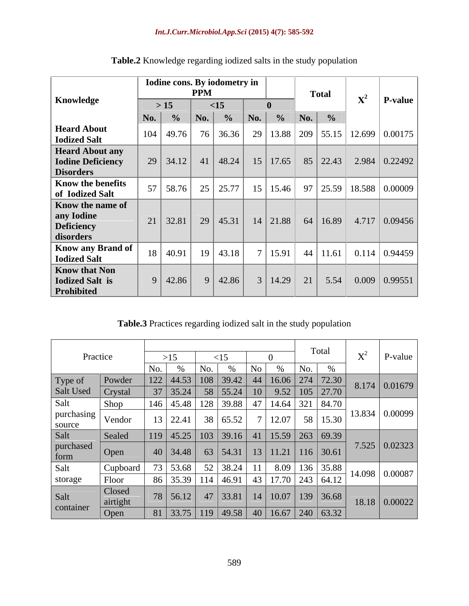|                                                 |                                           | Iodine cons. By iodometry in |                                                   |                                                                     |
|-------------------------------------------------|-------------------------------------------|------------------------------|---------------------------------------------------|---------------------------------------------------------------------|
|                                                 |                                           | <b>PPM</b>                   | <b>Total</b>                                      |                                                                     |
| Knowledge                                       | $>15$                                     | $\leq$ 15                    |                                                   | $\vert$ P-value                                                     |
|                                                 | $\vert$ No. $\vert$ % $\vert$ No. $\vert$ |                              | $\frac{9}{6}$ No. $\frac{9}{6}$ No. $\frac{9}{6}$ |                                                                     |
| <b>Heard About</b><br><b>Iodized Salt</b>       | $104$   49.76                             |                              |                                                   | 76   36.36   29   13.88   209   55.15   12.699   0.00175            |
| <b>Heard About any</b>                          |                                           |                              |                                                   |                                                                     |
| <b>Iodine Deficiency</b><br><b>Disorders</b>    |                                           |                              |                                                   | 29   34.12   41   48.24   15   17.65   85   22.43   2.984   0.22492 |
| <b>Know the benefits</b><br>of Iodized Salt     | $57$   58.76                              |                              |                                                   | 25   25.77   15   15.46   97   25.59   18.588   0.00009             |
| <b>Know the name of</b>                         |                                           |                              |                                                   |                                                                     |
| any Iodine<br>Deficiency                        | $21 \mid 32.81 \mid$                      |                              |                                                   | 29   45.31   14   21.88   64   16.89   4.717   0.09456              |
| disorders                                       |                                           |                              |                                                   |                                                                     |
| <b>Know any Brand of</b><br><b>Iodized Salt</b> | 18   40.91                                | 19 43.18                     |                                                   | 7   15.91   44   11.61   0.114   0.94459                            |
| <b>Know that Non</b>                            |                                           |                              |                                                   |                                                                     |
| Iodized Salt is<br>Prohibited                   | 9   42.86                                 | 42.86                        |                                                   | 3 14.29 21 5.54 0.009 0.99551                                       |

**Table.2** Knowledge regarding iodized salts in the study population

**Table.3** Practices regarding iodized salt in the study population

|                      |                   |       |                      |                 |                                                                                                    |                                                                              | Total    |        |                           |
|----------------------|-------------------|-------|----------------------|-----------------|----------------------------------------------------------------------------------------------------|------------------------------------------------------------------------------|----------|--------|---------------------------|
|                      | Practice          |       |                      |                 |                                                                                                    |                                                                              |          |        | P-value                   |
|                      |                   |       |                      |                 |                                                                                                    |                                                                              |          |        |                           |
| Type of              | Powder            |       |                      |                 | 22 44.53 108 39.42 44 16.06 274 72.30<br>37 35.24 58 55.24 10 9.52 105 27.70                       |                                                                              |          |        | $8.174 \mid 0.01679 \mid$ |
| Salt Used            | $\vert$ Crystal   |       |                      |                 |                                                                                                    |                                                                              |          |        |                           |
| Salt                 | <b>Shop</b>       | 146 l |                      |                 | 45.48 128 39.88 47 14.64 321 84.70                                                                 |                                                                              |          |        |                           |
| purchasing<br>source | Vendor            |       | $13 \mid 22.41 \mid$ | 38 65.52        |                                                                                                    | 7 12.07                                                                      | 58 15.30 |        | 13.834   0.00099          |
| Salt                 | Sealed            |       |                      |                 | $\vert$ 45.25 $\vert$ 103 $\vert$ 39.16 $\vert$ 41 $\vert$ 15.59 $\vert$ 263 $\vert$ 69.39 $\vert$ |                                                                              |          |        |                           |
| purchased<br>form    | $\vert$ Oper      |       | $40 \mid 34.48 \mid$ |                 |                                                                                                    |                                                                              |          |        | $7.525 \mid 0.02323 \mid$ |
| Salt                 | Cupboar           |       |                      | $52 \mid 38.24$ |                                                                                                    | $\begin{array}{r c c c c c} \hline 8.09 & 136 & 35.88 \\ \hline \end{array}$ |          | 14.098 | 0.00087                   |
| storage              | Floor             |       |                      |                 | 46.91                                                                                              |                                                                              |          |        |                           |
| Salt                 | Closed<br>airtigh |       | $78$   56.12         |                 | $47 \mid 33.81 \mid$                                                                               | 14 10.07 139 36.68                                                           |          |        | $18.18 \mid 0.00022 \mid$ |
| container            | $\mid$ Open       |       |                      |                 | 33.75   119   49.58   40   16.67   240   63.32                                                     |                                                                              |          |        |                           |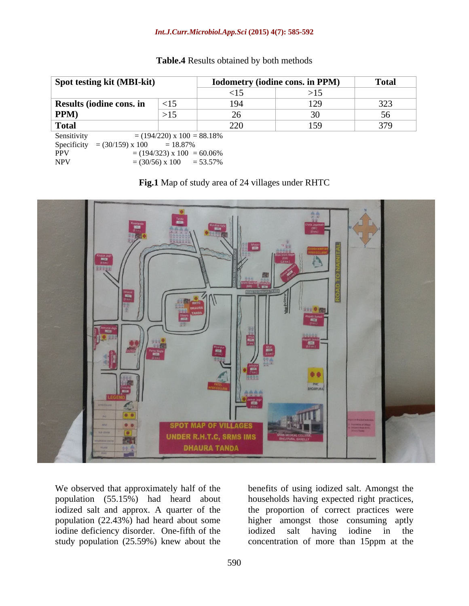| Spot testing kit (MBI-kit)          |                                    | Iodometry (iodine cons. in PPM) |     | Total                  |
|-------------------------------------|------------------------------------|---------------------------------|-----|------------------------|
|                                     |                                    | $\leq 12$                       | >15 |                        |
| Results (iodine cons. in            | $-15$                              | 101                             |     | 32 <sup>2</sup><br>ر∠ت |
| <b>PPM</b>                          | >15                                |                                 |     |                        |
| Total                               |                                    | ∠∠∪                             |     | 270                    |
| Sensitivity                         | $= (194/220) \times 100 = 88.18\%$ |                                 |     |                        |
| Specificity = $(30/159) \times 100$ | $= 18.87\%$                        |                                 |     |                        |
| PPV                                 | $=$ (194/323) x 100 = 60.06%       |                                 |     |                        |

#### **Table.4** Results obtained by both methods





We observed that approximately half of the benefits of using iodized salt. Amongst the population (55.15%) had heard about households having expected right practices, iodized salt and approx. A quarter of the the proportion of correct practices were population (22.43%) had heard about some higher amongst those consuming aptly iodine deficiency disorder. One-fifth of the iodized salt having iodine in the study population (25.59%) knew about the concentration of more than 15ppm at theiodized salt having iodine in the

NPV  $= (30/56) \times 100 = 53.57\%$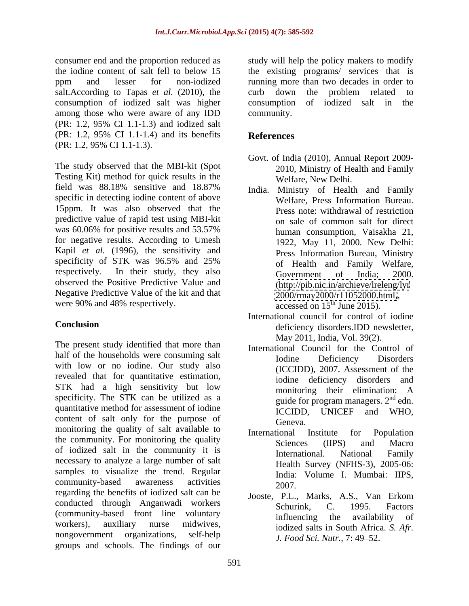salt.According to Tapas *et al.* (2010), the curb down the problem related to consumption of iodized salt was higher among those who were aware of any IDD (PR: 1.2, 95% CI 1.1-1.3) and iodized salt (PR: 1.2, 95% CI 1.1-1.4) and its benefits (PR: 1.2, 95% CI 1.1-1.3).

The study observed that the MBI-kit (Spot Testing Kit) method for quick results in the field was 88.18% sensitive and 18.87% specific in detecting iodine content of above 15ppm. It was also observed that the predictive value of rapid test using MBI-kit was 60.06% for positive results and 53.57% human consumption. Vaisakha 21. for negative results. According to Umesh Kapil *et al.* (1996), the sensitivity and specificity of STK was 96.5% and 25% respectively. In their study, they also Government of India; 2000. observed the Positive Predictive Value and Negative Predictive Value of the kit and that were 90% and 48% respectively.

The present study identified that more than half of the households were consuming salt<br>Iodine Deficiency Disorders with low or no iodine. Our study also revealed that for quantitative estimation, STK had a high sensitivity but low monitoring their elimination: A specificity. The STK can be utilized as a quantitative method for assessment of iodine<br>ICCIDD, UNICEF and WHO, content of salt only for the purpose of Geneva. monitoring the quality of salt available to **International** Institute for Population the community. For monitoring the quality<br>Sciences (IIPS) and Macro of iodized salt in the community it is **Example 11 September 11 September 11 September 11 September 12 September 12 September 12 September 12 September 12 September 12 September 12 September 12 September 12 September 12 Se** necessary to analyze a large number of salt samples to visualize the trend. Regular community-based awareness activities  $2007$ regarding the benefits of iodized salt can be conducted through Anganwadi workers<br>
Schurink, C. 1995. Factors (community-based front line voluntary influencing the availability of workers), auxiliary nurse midwives, iodized salts in South Africa. *S. Afr.* nongovernment organizations, self-help *J. Food Sci. Nutr.*, 7: 49–52. groups and schools. The findings of our

consumer end and the proportion reduced as study will help the policy makers to modify the iodine content of salt fell to below 15 the existing programs/ services that is ppm and lesser for non-iodized running more than two decades in order to curb down the problem related to consumption of iodized salt in the community.

# **References**

- Govt. of India (2010), Annual Report 2009- 2010, Ministry of Health and Family Welfare, New Delhi.
- India. Ministry of Health and Family Welfare, Press Information Bureau. Press note: withdrawal of restriction on sale of common salt for direct human consumption, Vaisakha 21, 1922, May 11, 2000. New Delhi: Press Information Bureau, Ministry of Health and Family Welfare, Government of India; 2000. [\(http://pib.nic.in/archieve/lreleng/lyr](http://pib.nic.in/archieve/lreleng/lyr) <2000/rmay2000/r11052000.html,>, accessed on  $15^{th}$  June 2015).
- **Conclusion** deficiency disorders.IDD newsletter, International council for control of iodine May 2011, India, Vol. 39(2).
	- International Council for the Control of Iodine Deficiency Disorders (ICCIDD), 2007. Assessment of the iodine deficiency disorders and monitoring their elimination: A guide for program managers.  $2<sup>nd</sup>$  edn. ICCIDD, UNICEF and WHO, Geneva.
	- International Institute for Population Sciences (IIPS) and Macro International. National Family Health Survey (NFHS-3), 2005-06: India: Volume I. Mumbai: IIPS, 2007.
	- Jooste, P.L., Marks, A.S., Van Erkom Schurink, C. 1995. Factors influencing the availability of